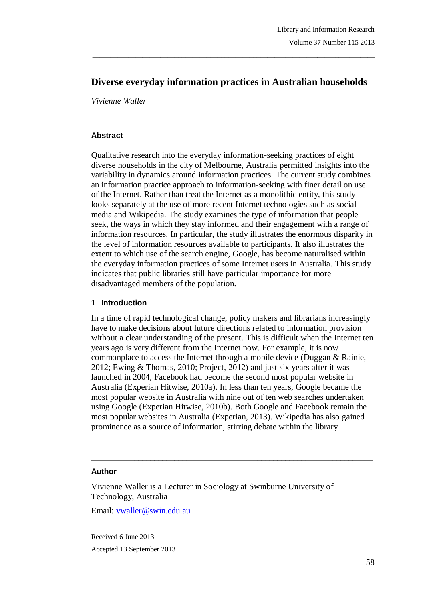# **Diverse everyday information practices in Australian households**

\_\_\_\_\_\_\_\_\_\_\_\_\_\_\_\_\_\_\_\_\_\_\_\_\_\_\_\_\_\_\_\_\_\_\_\_\_\_\_\_\_\_\_\_\_\_\_\_\_\_\_\_\_\_\_\_\_\_\_\_\_\_\_\_\_\_\_\_\_\_\_\_\_\_\_\_\_\_\_

*Vivienne Waller*

#### **Abstract**

Qualitative research into the everyday information-seeking practices of eight diverse households in the city of Melbourne, Australia permitted insights into the variability in dynamics around information practices. The current study combines an information practice approach to information-seeking with finer detail on use of the Internet. Rather than treat the Internet as a monolithic entity, this study looks separately at the use of more recent Internet technologies such as social media and Wikipedia. The study examines the type of information that people seek, the ways in which they stay informed and their engagement with a range of information resources. In particular, the study illustrates the enormous disparity in the level of information resources available to participants. It also illustrates the extent to which use of the search engine, Google, has become naturalised within the everyday information practices of some Internet users in Australia. This study indicates that public libraries still have particular importance for more disadvantaged members of the population.

## **1 Introduction**

In a time of rapid technological change, policy makers and librarians increasingly have to make decisions about future directions related to information provision without a clear understanding of the present. This is difficult when the Internet ten years ago is very different from the Internet now. For example, it is now commonplace to access the Internet through a mobile device (Duggan & Rainie, 2012; Ewing & Thomas, 2010; Project, 2012) and just six years after it was launched in 2004, Facebook had become the second most popular website in Australia (Experian Hitwise, 2010a). In less than ten years, Google became the most popular website in Australia with nine out of ten web searches undertaken using Google (Experian Hitwise, 2010b). Both Google and Facebook remain the most popular websites in Australia (Experian, 2013). Wikipedia has also gained prominence as a source of information, stirring debate within the library

\_\_\_\_\_\_\_\_\_\_\_\_\_\_\_\_\_\_\_\_\_\_\_\_\_\_\_\_\_\_\_\_\_\_\_\_\_\_\_\_\_\_\_\_\_\_\_\_\_\_\_\_\_\_\_\_\_\_\_\_\_\_\_\_\_\_\_\_\_\_\_

#### **Author**

Vivienne Waller is a Lecturer in Sociology at Swinburne University of Technology, Australia

Email: vwaller@swin.edu.au

Received 6 June 2013 Accepted 13 September 2013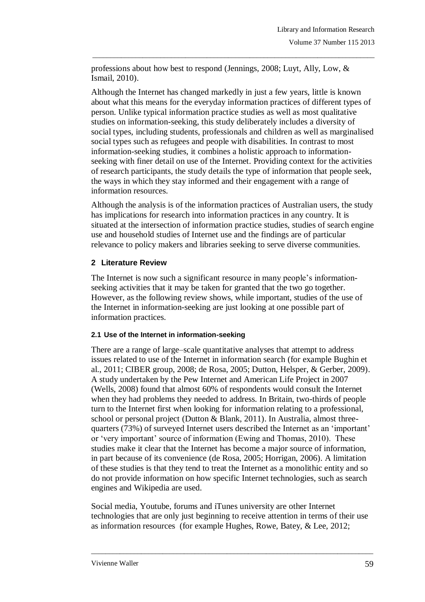professions about how best to respond (Jennings, 2008; Luyt, Ally, Low, & Ismail, 2010).

\_\_\_\_\_\_\_\_\_\_\_\_\_\_\_\_\_\_\_\_\_\_\_\_\_\_\_\_\_\_\_\_\_\_\_\_\_\_\_\_\_\_\_\_\_\_\_\_\_\_\_\_\_\_\_\_\_\_\_\_\_\_\_\_\_\_\_\_\_\_\_\_\_\_\_\_\_\_\_

Although the Internet has changed markedly in just a few years, little is known about what this means for the everyday information practices of different types of person. Unlike typical information practice studies as well as most qualitative studies on information-seeking, this study deliberately includes a diversity of social types, including students, professionals and children as well as marginalised social types such as refugees and people with disabilities. In contrast to most information-seeking studies, it combines a holistic approach to informationseeking with finer detail on use of the Internet. Providing context for the activities of research participants, the study details the type of information that people seek, the ways in which they stay informed and their engagement with a range of information resources.

Although the analysis is of the information practices of Australian users, the study has implications for research into information practices in any country. It is situated at the intersection of information practice studies, studies of search engine use and household studies of Internet use and the findings are of particular relevance to policy makers and libraries seeking to serve diverse communities.

## **2 Literature Review**

The Internet is now such a significant resource in many people's informationseeking activities that it may be taken for granted that the two go together. However, as the following review shows, while important, studies of the use of the Internet in information-seeking are just looking at one possible part of information practices.

## **2.1 Use of the Internet in information-seeking**

There are a range of large–scale quantitative analyses that attempt to address issues related to use of the Internet in information search (for example Bughin et al., 2011; CIBER group, 2008; de Rosa, 2005; Dutton, Helsper, & Gerber, 2009). A study undertaken by the Pew Internet and American Life Project in 2007 (Wells, 2008) found that almost 60% of respondents would consult the Internet when they had problems they needed to address. In Britain, two-thirds of people turn to the Internet first when looking for information relating to a professional, school or personal project (Dutton & Blank, 2011). In Australia, almost threequarters (73%) of surveyed Internet users described the Internet as an ‗important' or ‗very important' source of information (Ewing and Thomas, 2010). These studies make it clear that the Internet has become a major source of information, in part because of its convenience (de Rosa, 2005; Horrigan, 2006). A limitation of these studies is that they tend to treat the Internet as a monolithic entity and so do not provide information on how specific Internet technologies, such as search engines and Wikipedia are used.

Social media, Youtube, forums and iTunes university are other Internet technologies that are only just beginning to receive attention in terms of their use as information resources (for example Hughes, Rowe, Batey, & Lee, 2012;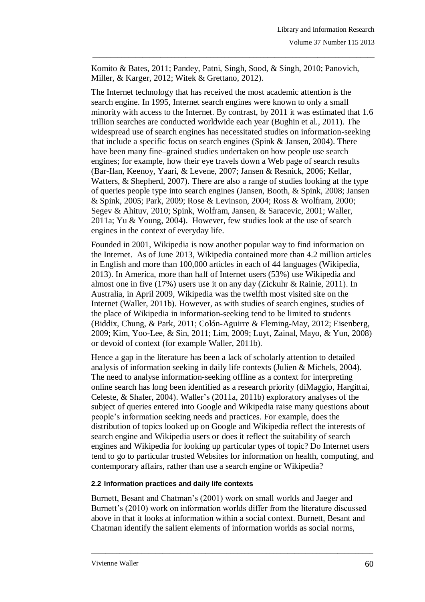Komito & Bates, 2011; Pandey, Patni, Singh, Sood, & Singh, 2010; Panovich, Miller, & Karger, 2012; Witek & Grettano, 2012).

\_\_\_\_\_\_\_\_\_\_\_\_\_\_\_\_\_\_\_\_\_\_\_\_\_\_\_\_\_\_\_\_\_\_\_\_\_\_\_\_\_\_\_\_\_\_\_\_\_\_\_\_\_\_\_\_\_\_\_\_\_\_\_\_\_\_\_\_\_\_\_\_\_\_\_\_\_\_\_

The Internet technology that has received the most academic attention is the search engine. In 1995, Internet search engines were known to only a small minority with access to the Internet. By contrast, by 2011 it was estimated that 1.6 trillion searches are conducted worldwide each year (Bughin et al., 2011). The widespread use of search engines has necessitated studies on information-seeking that include a specific focus on search engines (Spink & Jansen, 2004). There have been many fine–grained studies undertaken on how people use search engines; for example, how their eye travels down a Web page of search results (Bar-Ilan, Keenoy, Yaari, & Levene, 2007; Jansen & Resnick, 2006; Kellar, Watters, & Shepherd, 2007). There are also a range of studies looking at the type of queries people type into search engines (Jansen, Booth, & Spink, 2008; Jansen & Spink, 2005; Park, 2009; Rose & Levinson, 2004; Ross & Wolfram, 2000; Segev & Ahituv, 2010; Spink, Wolfram, Jansen, & Saracevic, 2001; Waller, 2011a; Yu & Young, 2004). However, few studies look at the use of search engines in the context of everyday life.

Founded in 2001, Wikipedia is now another popular way to find information on the Internet. As of June 2013, Wikipedia contained more than 4.2 million articles in English and more than 100,000 articles in each of 44 languages (Wikipedia, 2013). In America, more than half of Internet users (53%) use Wikipedia and almost one in five (17%) users use it on any day (Zickuhr & Rainie, 2011). In Australia, in April 2009, Wikipedia was the twelfth most visited site on the Internet (Waller, 2011b). However, as with studies of search engines, studies of the place of Wikipedia in information-seeking tend to be limited to students (Biddix, Chung, & Park, 2011; Colón-Aguirre & Fleming-May, 2012; Eisenberg, 2009; Kim, Yoo-Lee, & Sin, 2011; Lim, 2009; Luyt, Zainal, Mayo, & Yun, 2008) or devoid of context (for example Waller, 2011b).

Hence a gap in the literature has been a lack of scholarly attention to detailed analysis of information seeking in daily life contexts (Julien & Michels, 2004). The need to analyse information-seeking offline as a context for interpreting online search has long been identified as a research priority (diMaggio, Hargittai, Celeste, & Shafer, 2004). Waller's (2011a, 2011b) exploratory analyses of the subject of queries entered into Google and Wikipedia raise many questions about people's information seeking needs and practices. For example, does the distribution of topics looked up on Google and Wikipedia reflect the interests of search engine and Wikipedia users or does it reflect the suitability of search engines and Wikipedia for looking up particular types of topic? Do Internet users tend to go to particular trusted Websites for information on health, computing, and contemporary affairs, rather than use a search engine or Wikipedia?

#### **2.2 Information practices and daily life contexts**

Burnett, Besant and Chatman's (2001) work on small worlds and Jaeger and Burnett's (2010) work on information worlds differ from the literature discussed above in that it looks at information within a social context. Burnett, Besant and Chatman identify the salient elements of information worlds as social norms,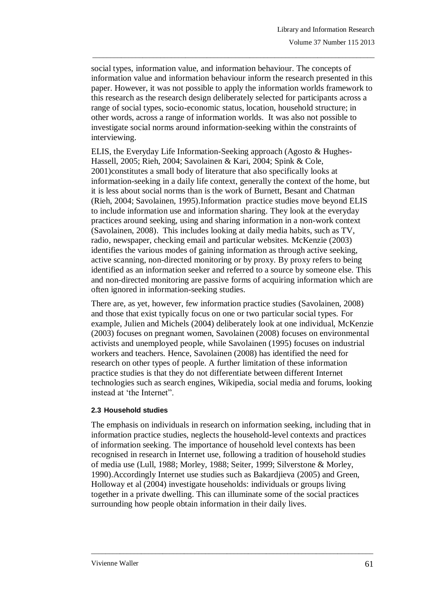social types, information value, and information behaviour. The concepts of information value and information behaviour inform the research presented in this paper. However, it was not possible to apply the information worlds framework to this research as the research design deliberately selected for participants across a range of social types, socio-economic status, location, household structure; in other words, across a range of information worlds. It was also not possible to investigate social norms around information-seeking within the constraints of interviewing.

\_\_\_\_\_\_\_\_\_\_\_\_\_\_\_\_\_\_\_\_\_\_\_\_\_\_\_\_\_\_\_\_\_\_\_\_\_\_\_\_\_\_\_\_\_\_\_\_\_\_\_\_\_\_\_\_\_\_\_\_\_\_\_\_\_\_\_\_\_\_\_\_\_\_\_\_\_\_\_

ELIS, the Everyday Life Information-Seeking approach (Agosto & Hughes-Hassell, 2005; Rieh, 2004; Savolainen & Kari, 2004; Spink & Cole, 2001)constitutes a small body of literature that also specifically looks at information-seeking in a daily life context, generally the context of the home, but it is less about social norms than is the work of Burnett, Besant and Chatman (Rieh, 2004; Savolainen, 1995).Information practice studies move beyond ELIS to include information use and information sharing. They look at the everyday practices around seeking, using and sharing information in a non-work context (Savolainen, 2008). This includes looking at daily media habits, such as TV, radio, newspaper, checking email and particular websites. McKenzie (2003) identifies the various modes of gaining information as through active seeking, active scanning, non-directed monitoring or by proxy. By proxy refers to being identified as an information seeker and referred to a source by someone else. This and non-directed monitoring are passive forms of acquiring information which are often ignored in information-seeking studies.

There are, as yet, however, few information practice studies (Savolainen, 2008) and those that exist typically focus on one or two particular social types. For example, Julien and Michels (2004) deliberately look at one individual, McKenzie (2003) focuses on pregnant women, Savolainen (2008) focuses on environmental activists and unemployed people, while Savolainen (1995) focuses on industrial workers and teachers. Hence, Savolainen (2008) has identified the need for research on other types of people. A further limitation of these information practice studies is that they do not differentiate between different Internet technologies such as search engines, Wikipedia, social media and forums, looking instead at 'the Internet''.

#### **2.3 Household studies**

The emphasis on individuals in research on information seeking, including that in information practice studies, neglects the household-level contexts and practices of information seeking. The importance of household level contexts has been recognised in research in Internet use, following a tradition of household studies of media use (Lull, 1988; Morley, 1988; Seiter, 1999; Silverstone & Morley, 1990).Accordingly Internet use studies such as Bakardjieva (2005) and Green, Holloway et al (2004) investigate households: individuals or groups living together in a private dwelling. This can illuminate some of the social practices surrounding how people obtain information in their daily lives.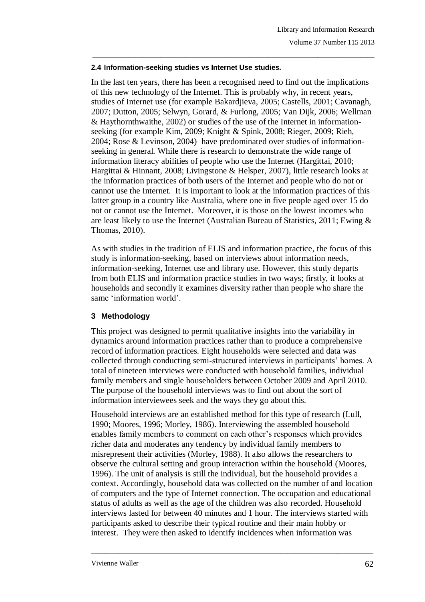#### **2.4 Information-seeking studies vs Internet Use studies.**

In the last ten years, there has been a recognised need to find out the implications of this new technology of the Internet. This is probably why, in recent years, studies of Internet use (for example Bakardjieva, 2005; Castells, 2001; Cavanagh, 2007; Dutton, 2005; Selwyn, Gorard, & Furlong, 2005; Van Dijk, 2006; Wellman & Haythornthwaithe, 2002) or studies of the use of the Internet in informationseeking (for example Kim, 2009; Knight & Spink, 2008; Rieger, 2009; Rieh, 2004; Rose & Levinson, 2004) have predominated over studies of informationseeking in general. While there is research to demonstrate the wide range of information literacy abilities of people who use the Internet (Hargittai, 2010; Hargittai & Hinnant, 2008; Livingstone & Helsper, 2007), little research looks at the information practices of both users of the Internet and people who do not or cannot use the Internet. It is important to look at the information practices of this latter group in a country like Australia, where one in five people aged over 15 do not or cannot use the Internet. Moreover, it is those on the lowest incomes who are least likely to use the Internet (Australian Bureau of Statistics, 2011; Ewing & Thomas, 2010).

\_\_\_\_\_\_\_\_\_\_\_\_\_\_\_\_\_\_\_\_\_\_\_\_\_\_\_\_\_\_\_\_\_\_\_\_\_\_\_\_\_\_\_\_\_\_\_\_\_\_\_\_\_\_\_\_\_\_\_\_\_\_\_\_\_\_\_\_\_\_\_\_\_\_\_\_\_\_\_

As with studies in the tradition of ELIS and information practice, the focus of this study is information-seeking, based on interviews about information needs, information-seeking, Internet use and library use. However, this study departs from both ELIS and information practice studies in two ways; firstly, it looks at households and secondly it examines diversity rather than people who share the same 'information world'.

## **3 Methodology**

This project was designed to permit qualitative insights into the variability in dynamics around information practices rather than to produce a comprehensive record of information practices. Eight households were selected and data was collected through conducting semi-structured interviews in participants' homes. A total of nineteen interviews were conducted with household families, individual family members and single householders between October 2009 and April 2010. The purpose of the household interviews was to find out about the sort of information interviewees seek and the ways they go about this.

Household interviews are an established method for this type of research (Lull, 1990; Moores, 1996; Morley, 1986). Interviewing the assembled household enables family members to comment on each other's responses which provides richer data and moderates any tendency by individual family members to misrepresent their activities (Morley, 1988). It also allows the researchers to observe the cultural setting and group interaction within the household (Moores, 1996). The unit of analysis is still the individual, but the household provides a context. Accordingly, household data was collected on the number of and location of computers and the type of Internet connection. The occupation and educational status of adults as well as the age of the children was also recorded. Household interviews lasted for between 40 minutes and 1 hour. The interviews started with participants asked to describe their typical routine and their main hobby or interest. They were then asked to identify incidences when information was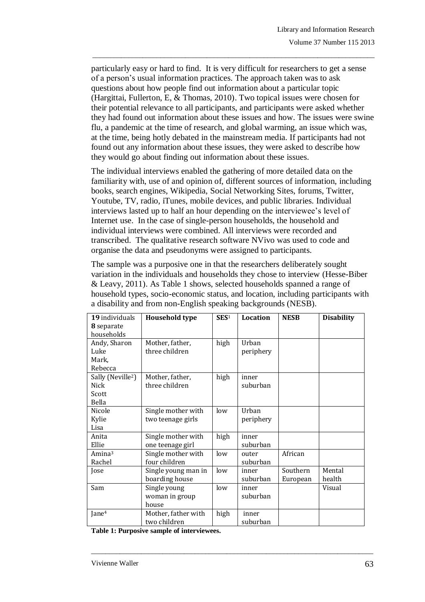particularly easy or hard to find. It is very difficult for researchers to get a sense of a person's usual information practices. The approach taken was to ask questions about how people find out information about a particular topic (Hargittai, Fullerton, E, & Thomas, 2010). Two topical issues were chosen for their potential relevance to all participants, and participants were asked whether they had found out information about these issues and how. The issues were swine flu, a pandemic at the time of research, and global warming, an issue which was, at the time, being hotly debated in the mainstream media. If participants had not found out any information about these issues, they were asked to describe how they would go about finding out information about these issues.

\_\_\_\_\_\_\_\_\_\_\_\_\_\_\_\_\_\_\_\_\_\_\_\_\_\_\_\_\_\_\_\_\_\_\_\_\_\_\_\_\_\_\_\_\_\_\_\_\_\_\_\_\_\_\_\_\_\_\_\_\_\_\_\_\_\_\_\_\_\_\_\_\_\_\_\_\_\_\_

The individual interviews enabled the gathering of more detailed data on the familiarity with, use of and opinion of, different sources of information, including books, search engines, Wikipedia, Social Networking Sites, forums, Twitter, Youtube, TV, radio, iTunes, mobile devices, and public libraries. Individual interviews lasted up to half an hour depending on the interviewee's level of Internet use. In the case of single-person households, the household and individual interviews were combined. All interviews were recorded and transcribed. The qualitative research software NVivo was used to code and organise the data and pseudonyms were assigned to participants.

The sample was a purposive one in that the researchers deliberately sought variation in the individuals and households they chose to interview (Hesse-Biber & Leavy, 2011). As Table 1 shows, selected households spanned a range of household types, socio-economic status, and location, including participants with a disability and from non-English speaking backgrounds (NESB).

| 19 individuals                | <b>Household type</b> | SES <sup>1</sup> | <b>Location</b> | <b>NESB</b> | <b>Disability</b> |
|-------------------------------|-----------------------|------------------|-----------------|-------------|-------------------|
| 8 separate                    |                       |                  |                 |             |                   |
| households                    |                       |                  |                 |             |                   |
| Andy, Sharon                  | Mother, father,       | high             | Urban           |             |                   |
| Luke                          | three children        |                  | periphery       |             |                   |
| Mark,                         |                       |                  |                 |             |                   |
| Rebecca                       |                       |                  |                 |             |                   |
| Sally (Neville <sup>2</sup> ) | Mother, father,       | high             | inner           |             |                   |
| Nick                          | three children        |                  | suburban        |             |                   |
| Scott                         |                       |                  |                 |             |                   |
| Bella                         |                       |                  |                 |             |                   |
| Nicole                        | Single mother with    | low              | Urban           |             |                   |
| Kylie                         | two teenage girls     |                  | periphery       |             |                   |
| Lisa                          |                       |                  |                 |             |                   |
| Anita                         | Single mother with    | high             | inner           |             |                   |
| Ellie                         | one teenage girl      |                  | suburban        |             |                   |
| Amina <sup>3</sup>            | Single mother with    | low              | outer           | African     |                   |
| Rachel                        | four children         |                  | suburban        |             |                   |
| Jose                          | Single young man in   | low              | inner           | Southern    | Mental            |
|                               | boarding house        |                  | suburban        | European    | health            |
| Sam                           | Single young          | low              | inner           |             | Visual            |
|                               | woman in group        |                  | suburban        |             |                   |
|                               | house                 |                  |                 |             |                   |
| Jane <sup>4</sup>             | Mother, father with   | high             | inner           |             |                   |
|                               | two children          |                  | suburban        |             |                   |

\_\_\_\_\_\_\_\_\_\_\_\_\_\_\_\_\_\_\_\_\_\_\_\_\_\_\_\_\_\_\_\_\_\_\_\_\_\_\_\_\_\_\_\_\_\_\_\_\_\_\_\_\_\_\_\_\_\_\_\_\_\_\_\_\_\_\_\_\_\_\_\_\_\_\_\_\_\_\_

**Table 1: Purposive sample of interviewees.**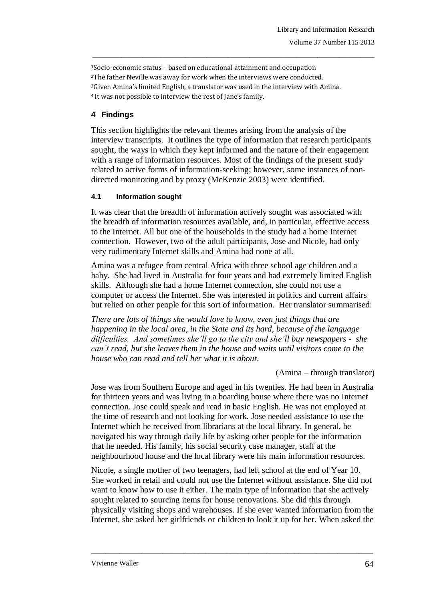Socio-economic status – based on educational attainment and occupation The father Neville was away for work when the interviews were conducted. Given Amina's limited English, a translator was used in the interview with Amina. <sup>4</sup> It was not possible to interview the rest of Jane's family.

\_\_\_\_\_\_\_\_\_\_\_\_\_\_\_\_\_\_\_\_\_\_\_\_\_\_\_\_\_\_\_\_\_\_\_\_\_\_\_\_\_\_\_\_\_\_\_\_\_\_\_\_\_\_\_\_\_\_\_\_\_\_\_\_\_\_\_\_\_\_\_\_\_\_\_\_\_\_\_

## **4 Findings**

This section highlights the relevant themes arising from the analysis of the interview transcripts. It outlines the type of information that research participants sought, the ways in which they kept informed and the nature of their engagement with a range of information resources. Most of the findings of the present study related to active forms of information-seeking; however, some instances of nondirected monitoring and by proxy (McKenzie 2003) were identified.

## **4.1 Information sought**

It was clear that the breadth of information actively sought was associated with the breadth of information resources available, and, in particular, effective access to the Internet. All but one of the households in the study had a home Internet connection. However, two of the adult participants, Jose and Nicole, had only very rudimentary Internet skills and Amina had none at all.

Amina was a refugee from central Africa with three school age children and a baby. She had lived in Australia for four years and had extremely limited English skills. Although she had a home Internet connection, she could not use a computer or access the Internet. She was interested in politics and current affairs but relied on other people for this sort of information. Her translator summarised:

*There are lots of things she would love to know, even just things that are happening in the local area, in the State and its hard, because of the language difficulties. And sometimes she'll go to the city and she'll buy newspapers - she can't read, but she leaves them in the house and waits until visitors come to the house who can read and tell her what it is about*.

(Amina – through translator)

Jose was from Southern Europe and aged in his twenties. He had been in Australia for thirteen years and was living in a boarding house where there was no Internet connection. Jose could speak and read in basic English. He was not employed at the time of research and not looking for work. Jose needed assistance to use the Internet which he received from librarians at the local library. In general, he navigated his way through daily life by asking other people for the information that he needed. His family, his social security case manager, staff at the neighbourhood house and the local library were his main information resources.

Nicole, a single mother of two teenagers, had left school at the end of Year 10. She worked in retail and could not use the Internet without assistance. She did not want to know how to use it either. The main type of information that she actively sought related to sourcing items for house renovations. She did this through physically visiting shops and warehouses. If she ever wanted information from the Internet, she asked her girlfriends or children to look it up for her. When asked the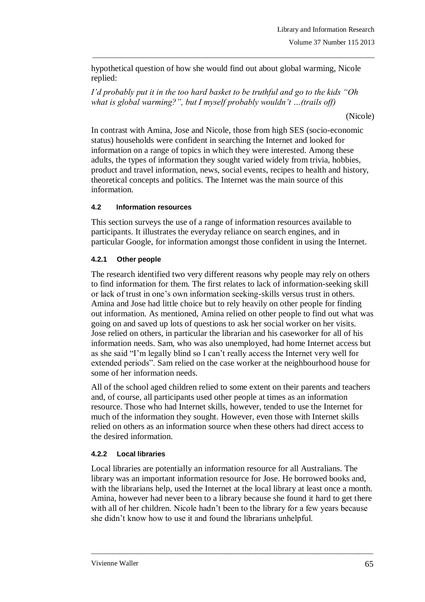hypothetical question of how she would find out about global warming, Nicole replied:

\_\_\_\_\_\_\_\_\_\_\_\_\_\_\_\_\_\_\_\_\_\_\_\_\_\_\_\_\_\_\_\_\_\_\_\_\_\_\_\_\_\_\_\_\_\_\_\_\_\_\_\_\_\_\_\_\_\_\_\_\_\_\_\_\_\_\_\_\_\_\_\_\_\_\_\_\_\_\_

*I'd probably put it in the too hard basket to be truthful and go to the kids "Oh what is global warming?", but I myself probably wouldn't …(trails off)*

(Nicole)

In contrast with Amina, Jose and Nicole, those from high SES (socio-economic status) households were confident in searching the Internet and looked for information on a range of topics in which they were interested. Among these adults, the types of information they sought varied widely from trivia, hobbies, product and travel information, news, social events, recipes to health and history, theoretical concepts and politics. The Internet was the main source of this information.

## **4.2 Information resources**

This section surveys the use of a range of information resources available to participants. It illustrates the everyday reliance on search engines, and in particular Google, for information amongst those confident in using the Internet.

## **4.2.1 Other people**

The research identified two very different reasons why people may rely on others to find information for them. The first relates to lack of information-seeking skill or lack of trust in one's own information seeking-skills versus trust in others. Amina and Jose had little choice but to rely heavily on other people for finding out information. As mentioned, Amina relied on other people to find out what was going on and saved up lots of questions to ask her social worker on her visits. Jose relied on others, in particular the librarian and his caseworker for all of his information needs. Sam, who was also unemployed, had home Internet access but as she said "I'm legally blind so I can't really access the Internet very well for extended periods". Sam relied on the case worker at the neighbourhood house for some of her information needs.

All of the school aged children relied to some extent on their parents and teachers and, of course, all participants used other people at times as an information resource. Those who had Internet skills, however, tended to use the Internet for much of the information they sought. However, even those with Internet skills relied on others as an information source when these others had direct access to the desired information.

## **4.2.2 Local libraries**

Local libraries are potentially an information resource for all Australians. The library was an important information resource for Jose. He borrowed books and, with the librarians help, used the Internet at the local library at least once a month. Amina, however had never been to a library because she found it hard to get there with all of her children. Nicole hadn't been to the library for a few years because she didn't know how to use it and found the librarians unhelpful.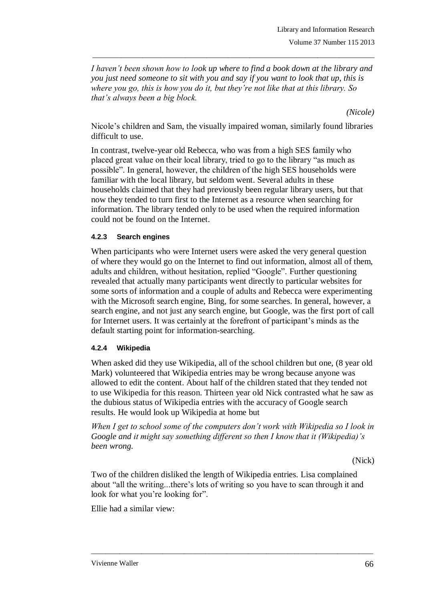*I haven't been shown how to look up where to find a book down at the library and you just need someone to sit with you and say if you want to look that up, this is where you go, this is how you do it, but they're not like that at this library. So that's always been a big block.* 

\_\_\_\_\_\_\_\_\_\_\_\_\_\_\_\_\_\_\_\_\_\_\_\_\_\_\_\_\_\_\_\_\_\_\_\_\_\_\_\_\_\_\_\_\_\_\_\_\_\_\_\_\_\_\_\_\_\_\_\_\_\_\_\_\_\_\_\_\_\_\_\_\_\_\_\_\_\_\_

*(Nicole)*

Nicole's children and Sam, the visually impaired woman, similarly found libraries difficult to use.

In contrast, twelve-year old Rebecca, who was from a high SES family who placed great value on their local library, tried to go to the library "as much as possible". In general, however, the children of the high SES households were familiar with the local library, but seldom went. Several adults in these households claimed that they had previously been regular library users, but that now they tended to turn first to the Internet as a resource when searching for information. The library tended only to be used when the required information could not be found on the Internet.

## **4.2.3 Search engines**

When participants who were Internet users were asked the very general question of where they would go on the Internet to find out information, almost all of them, adults and children, without hesitation, replied "Google". Further questioning revealed that actually many participants went directly to particular websites for some sorts of information and a couple of adults and Rebecca were experimenting with the Microsoft search engine, Bing, for some searches. In general, however, a search engine, and not just any search engine, but Google, was the first port of call for Internet users. It was certainly at the forefront of participant's minds as the default starting point for information-searching.

## **4.2.4 Wikipedia**

When asked did they use Wikipedia, all of the school children but one, (8 year old Mark) volunteered that Wikipedia entries may be wrong because anyone was allowed to edit the content. About half of the children stated that they tended not to use Wikipedia for this reason. Thirteen year old Nick contrasted what he saw as the dubious status of Wikipedia entries with the accuracy of Google search results. He would look up Wikipedia at home but

*When I get to school some of the computers don't work with Wikipedia so I look in Google and it might say something different so then I know that it (Wikipedia)'s been wrong.*

(Nick)

Two of the children disliked the length of Wikipedia entries. Lisa complained about "all the writing...there's lots of writing so you have to scan through it and look for what you're looking for".

\_\_\_\_\_\_\_\_\_\_\_\_\_\_\_\_\_\_\_\_\_\_\_\_\_\_\_\_\_\_\_\_\_\_\_\_\_\_\_\_\_\_\_\_\_\_\_\_\_\_\_\_\_\_\_\_\_\_\_\_\_\_\_\_\_\_\_\_\_\_\_\_\_\_\_\_\_\_\_

Ellie had a similar view: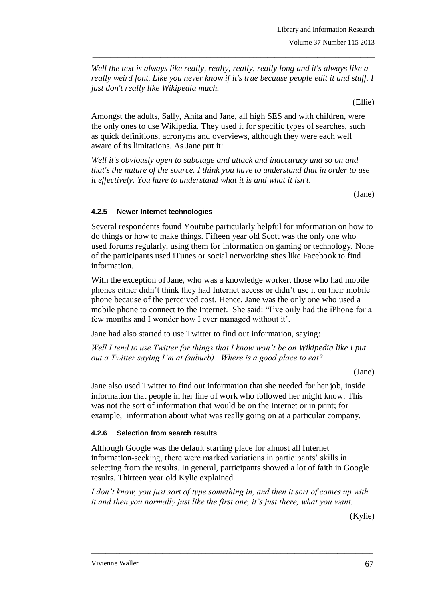*Well the text is always like really, really, really, really long and it's always like a really weird font. Like you never know if it's true because people edit it and stuff. I just don't really like Wikipedia much.*

\_\_\_\_\_\_\_\_\_\_\_\_\_\_\_\_\_\_\_\_\_\_\_\_\_\_\_\_\_\_\_\_\_\_\_\_\_\_\_\_\_\_\_\_\_\_\_\_\_\_\_\_\_\_\_\_\_\_\_\_\_\_\_\_\_\_\_\_\_\_\_\_\_\_\_\_\_\_\_

(Ellie)

Amongst the adults, Sally, Anita and Jane, all high SES and with children, were the only ones to use Wikipedia. They used it for specific types of searches, such as quick definitions, acronyms and overviews, although they were each well aware of its limitations. As Jane put it:

*Well it's obviously open to sabotage and attack and inaccuracy and so on and that's the nature of the source. I think you have to understand that in order to use it effectively. You have to understand what it is and what it isn't.*

(Jane)

## **4.2.5 Newer Internet technologies**

Several respondents found Youtube particularly helpful for information on how to do things or how to make things. Fifteen year old Scott was the only one who used forums regularly, using them for information on gaming or technology. None of the participants used iTunes or social networking sites like Facebook to find information.

With the exception of Jane, who was a knowledge worker, those who had mobile phones either didn't think they had Internet access or didn't use it on their mobile phone because of the perceived cost. Hence, Jane was the only one who used a mobile phone to connect to the Internet. She said: "I've only had the iPhone for a few months and I wonder how I ever managed without it'.

Jane had also started to use Twitter to find out information, saying:

*Well I tend to use Twitter for things that I know won't be on Wikipedia like I put out a Twitter saying I'm at (suburb). Where is a good place to eat?*

(Jane)

Jane also used Twitter to find out information that she needed for her job, inside information that people in her line of work who followed her might know. This was not the sort of information that would be on the Internet or in print; for example, information about what was really going on at a particular company.

## **4.2.6 Selection from search results**

Although Google was the default starting place for almost all Internet information-seeking, there were marked variations in participants' skills in selecting from the results. In general, participants showed a lot of faith in Google results. Thirteen year old Kylie explained

*I don't know, you just sort of type something in, and then it sort of comes up with it and then you normally just like the first one, it's just there, what you want.* 

\_\_\_\_\_\_\_\_\_\_\_\_\_\_\_\_\_\_\_\_\_\_\_\_\_\_\_\_\_\_\_\_\_\_\_\_\_\_\_\_\_\_\_\_\_\_\_\_\_\_\_\_\_\_\_\_\_\_\_\_\_\_\_\_\_\_\_\_\_\_\_\_\_\_\_\_\_\_\_

(Kylie)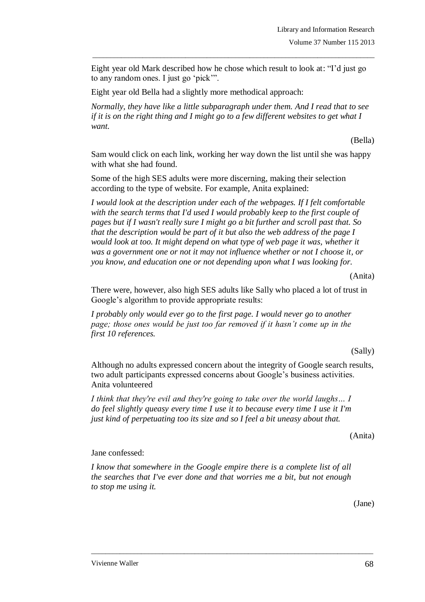Eight year old Mark described how he chose which result to look at: "I'd just go to any random ones. I just go 'pick'".

\_\_\_\_\_\_\_\_\_\_\_\_\_\_\_\_\_\_\_\_\_\_\_\_\_\_\_\_\_\_\_\_\_\_\_\_\_\_\_\_\_\_\_\_\_\_\_\_\_\_\_\_\_\_\_\_\_\_\_\_\_\_\_\_\_\_\_\_\_\_\_\_\_\_\_\_\_\_\_

Eight year old Bella had a slightly more methodical approach:

*Normally, they have like a little subparagraph under them. And I read that to see if it is on the right thing and I might go to a few different websites to get what I want.*

(Bella)

Sam would click on each link, working her way down the list until she was happy with what she had found.

Some of the high SES adults were more discerning, making their selection according to the type of website. For example, Anita explained:

*I would look at the description under each of the webpages. If I felt comfortable with the search terms that I'd used I would probably keep to the first couple of pages but if I wasn't really sure I might go a bit further and scroll past that. So that the description would be part of it but also the web address of the page I would look at too. It might depend on what type of web page it was, whether it was a government one or not it may not influence whether or not I choose it, or you know, and education one or not depending upon what I was looking for.*

There were, however, also high SES adults like Sally who placed a lot of trust in Google's algorithm to provide appropriate results:

*I probably only would ever go to the first page. I would never go to another page; those ones would be just too far removed if it hasn't come up in the first 10 references.*

#### (Sally)

Although no adults expressed concern about the integrity of Google search results, two adult participants expressed concerns about Google's business activities. Anita volunteered

*I think that they're evil and they're going to take over the world laughs... I do feel slightly queasy every time I use it to because every time I use it I'm just kind of perpetuating too its size and so I feel a bit uneasy about that.*

(Anita)

Jane confessed:

*I know that somewhere in the Google empire there is a complete list of all the searches that I've ever done and that worries me a bit, but not enough to stop me using it.*

\_\_\_\_\_\_\_\_\_\_\_\_\_\_\_\_\_\_\_\_\_\_\_\_\_\_\_\_\_\_\_\_\_\_\_\_\_\_\_\_\_\_\_\_\_\_\_\_\_\_\_\_\_\_\_\_\_\_\_\_\_\_\_\_\_\_\_\_\_\_\_\_\_\_\_\_\_\_\_

(Jane)

<sup>(</sup>Anita)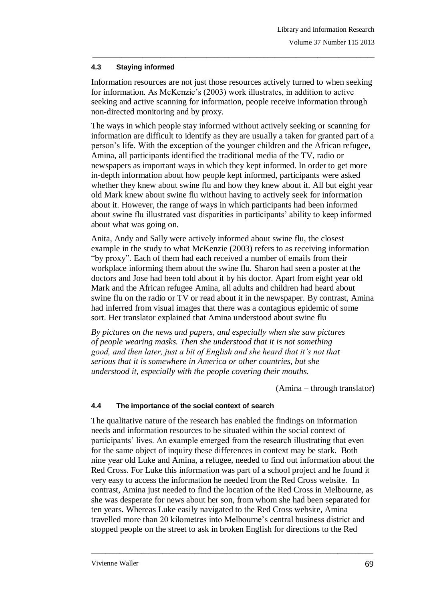#### **4.3 Staying informed**

Information resources are not just those resources actively turned to when seeking for information. As McKenzie's (2003) work illustrates, in addition to active seeking and active scanning for information, people receive information through non-directed monitoring and by proxy.

\_\_\_\_\_\_\_\_\_\_\_\_\_\_\_\_\_\_\_\_\_\_\_\_\_\_\_\_\_\_\_\_\_\_\_\_\_\_\_\_\_\_\_\_\_\_\_\_\_\_\_\_\_\_\_\_\_\_\_\_\_\_\_\_\_\_\_\_\_\_\_\_\_\_\_\_\_\_\_

The ways in which people stay informed without actively seeking or scanning for information are difficult to identify as they are usually a taken for granted part of a person's life. With the exception of the younger children and the African refugee, Amina, all participants identified the traditional media of the TV, radio or newspapers as important ways in which they kept informed. In order to get more in-depth information about how people kept informed, participants were asked whether they knew about swine flu and how they knew about it. All but eight year old Mark knew about swine flu without having to actively seek for information about it. However, the range of ways in which participants had been informed about swine flu illustrated vast disparities in participants' ability to keep informed about what was going on.

Anita, Andy and Sally were actively informed about swine flu, the closest example in the study to what McKenzie (2003) refers to as receiving information "by proxy". Each of them had each received a number of emails from their workplace informing them about the swine flu. Sharon had seen a poster at the doctors and Jose had been told about it by his doctor. Apart from eight year old Mark and the African refugee Amina, all adults and children had heard about swine flu on the radio or TV or read about it in the newspaper. By contrast, Amina had inferred from visual images that there was a contagious epidemic of some sort. Her translator explained that Amina understood about swine flu

*By pictures on the news and papers, and especially when she saw pictures of people wearing masks. Then she understood that it is not something good, and then later, just a bit of English and she heard that it's not that serious that it is somewhere in America or other countries, but she understood it, especially with the people covering their mouths.*

(Amina – through translator)

## **4.4 The importance of the social context of search**

The qualitative nature of the research has enabled the findings on information needs and information resources to be situated within the social context of participants' lives. An example emerged from the research illustrating that even for the same object of inquiry these differences in context may be stark. Both nine year old Luke and Amina, a refugee, needed to find out information about the Red Cross. For Luke this information was part of a school project and he found it very easy to access the information he needed from the Red Cross website. In contrast, Amina just needed to find the location of the Red Cross in Melbourne, as she was desperate for news about her son, from whom she had been separated for ten years. Whereas Luke easily navigated to the Red Cross website, Amina travelled more than 20 kilometres into Melbourne's central business district and stopped people on the street to ask in broken English for directions to the Red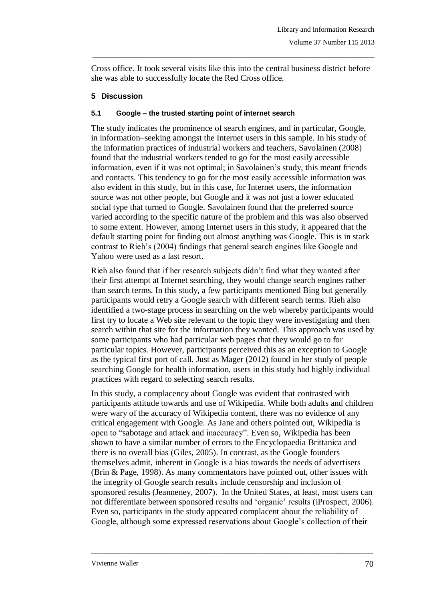Cross office. It took several visits like this into the central business district before she was able to successfully locate the Red Cross office.

\_\_\_\_\_\_\_\_\_\_\_\_\_\_\_\_\_\_\_\_\_\_\_\_\_\_\_\_\_\_\_\_\_\_\_\_\_\_\_\_\_\_\_\_\_\_\_\_\_\_\_\_\_\_\_\_\_\_\_\_\_\_\_\_\_\_\_\_\_\_\_\_\_\_\_\_\_\_\_

## **5 Discussion**

## **5.1 Google – the trusted starting point of internet search**

The study indicates the prominence of search engines, and in particular, Google, in information–seeking amongst the Internet users in this sample. In his study of the information practices of industrial workers and teachers, Savolainen (2008) found that the industrial workers tended to go for the most easily accessible information, even if it was not optimal; in Savolainen's study, this meant friends and contacts. This tendency to go for the most easily accessible information was also evident in this study, but in this case, for Internet users, the information source was not other people, but Google and it was not just a lower educated social type that turned to Google. Savolainen found that the preferred source varied according to the specific nature of the problem and this was also observed to some extent. However, among Internet users in this study, it appeared that the default starting point for finding out almost anything was Google. This is in stark contrast to Rieh's (2004) findings that general search engines like Google and Yahoo were used as a last resort.

Rieh also found that if her research subjects didn't find what they wanted after their first attempt at Internet searching, they would change search engines rather than search terms. In this study, a few participants mentioned Bing but generally participants would retry a Google search with different search terms. Rieh also identified a two-stage process in searching on the web whereby participants would first try to locate a Web site relevant to the topic they were investigating and then search within that site for the information they wanted. This approach was used by some participants who had particular web pages that they would go to for particular topics. However, participants perceived this as an exception to Google as the typical first port of call. Just as Mager (2012) found in her study of people searching Google for health information, users in this study had highly individual practices with regard to selecting search results.

In this study, a complacency about Google was evident that contrasted with participants attitude towards and use of Wikipedia. While both adults and children were wary of the accuracy of Wikipedia content, there was no evidence of any critical engagement with Google. As Jane and others pointed out, Wikipedia is open to "sabotage and attack and inaccuracy". Even so, Wikipedia has been shown to have a similar number of errors to the Encyclopaedia Brittanica and there is no overall bias (Giles, 2005). In contrast, as the Google founders themselves admit, inherent in Google is a bias towards the needs of advertisers (Brin & Page, 1998). As many commentators have pointed out, other issues with the integrity of Google search results include censorship and inclusion of sponsored results (Jeanneney, 2007). In the United States, at least, most users can not differentiate between sponsored results and 'organic' results (iProspect, 2006). Even so, participants in the study appeared complacent about the reliability of Google, although some expressed reservations about Google's collection of their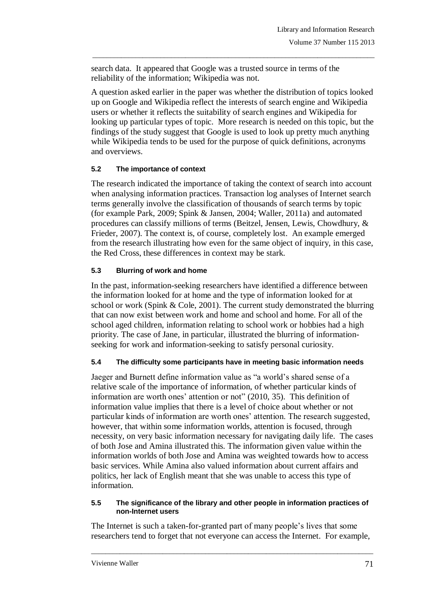search data. It appeared that Google was a trusted source in terms of the reliability of the information; Wikipedia was not.

A question asked earlier in the paper was whether the distribution of topics looked up on Google and Wikipedia reflect the interests of search engine and Wikipedia users or whether it reflects the suitability of search engines and Wikipedia for looking up particular types of topic. More research is needed on this topic, but the findings of the study suggest that Google is used to look up pretty much anything while Wikipedia tends to be used for the purpose of quick definitions, acronyms and overviews.

\_\_\_\_\_\_\_\_\_\_\_\_\_\_\_\_\_\_\_\_\_\_\_\_\_\_\_\_\_\_\_\_\_\_\_\_\_\_\_\_\_\_\_\_\_\_\_\_\_\_\_\_\_\_\_\_\_\_\_\_\_\_\_\_\_\_\_\_\_\_\_\_\_\_\_\_\_\_\_

## **5.2 The importance of context**

The research indicated the importance of taking the context of search into account when analysing information practices. Transaction log analyses of Internet search terms generally involve the classification of thousands of search terms by topic (for example Park, 2009; Spink & Jansen, 2004; Waller, 2011a) and automated procedures can classify millions of terms (Beitzel, Jensen, Lewis, Chowdhury, & Frieder, 2007). The context is, of course, completely lost. An example emerged from the research illustrating how even for the same object of inquiry, in this case, the Red Cross, these differences in context may be stark.

## **5.3 Blurring of work and home**

In the past, information-seeking researchers have identified a difference between the information looked for at home and the type of information looked for at school or work (Spink & Cole, 2001). The current study demonstrated the blurring that can now exist between work and home and school and home. For all of the school aged children, information relating to school work or hobbies had a high priority. The case of Jane, in particular, illustrated the blurring of informationseeking for work and information-seeking to satisfy personal curiosity.

## **5.4 The difficulty some participants have in meeting basic information needs**

Jaeger and Burnett define information value as "a world's shared sense of a relative scale of the importance of information, of whether particular kinds of information are worth ones' attention or not" (2010, 35). This definition of information value implies that there is a level of choice about whether or not particular kinds of information are worth ones' attention. The research suggested, however, that within some information worlds, attention is focused, through necessity, on very basic information necessary for navigating daily life. The cases of both Jose and Amina illustrated this. The information given value within the information worlds of both Jose and Amina was weighted towards how to access basic services. While Amina also valued information about current affairs and politics, her lack of English meant that she was unable to access this type of information.

#### **5.5 The significance of the library and other people in information practices of non-Internet users**

The Internet is such a taken-for-granted part of many people's lives that some researchers tend to forget that not everyone can access the Internet. For example,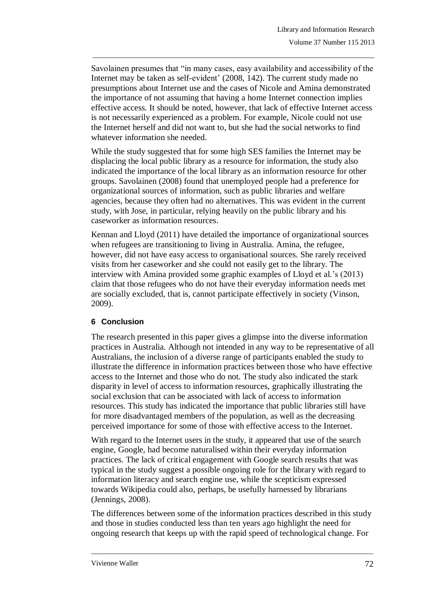Savolainen presumes that "in many cases, easy availability and accessibility of the Internet may be taken as self-evident' (2008, 142). The current study made no presumptions about Internet use and the cases of Nicole and Amina demonstrated the importance of not assuming that having a home Internet connection implies effective access. It should be noted, however, that lack of effective Internet access is not necessarily experienced as a problem. For example, Nicole could not use the Internet herself and did not want to, but she had the social networks to find whatever information she needed.

\_\_\_\_\_\_\_\_\_\_\_\_\_\_\_\_\_\_\_\_\_\_\_\_\_\_\_\_\_\_\_\_\_\_\_\_\_\_\_\_\_\_\_\_\_\_\_\_\_\_\_\_\_\_\_\_\_\_\_\_\_\_\_\_\_\_\_\_\_\_\_\_\_\_\_\_\_\_\_

While the study suggested that for some high SES families the Internet may be displacing the local public library as a resource for information, the study also indicated the importance of the local library as an information resource for other groups. Savolainen (2008) found that unemployed people had a preference for organizational sources of information, such as public libraries and welfare agencies, because they often had no alternatives. This was evident in the current study, with Jose, in particular, relying heavily on the public library and his caseworker as information resources.

Kennan and Lloyd (2011) have detailed the importance of organizational sources when refugees are transitioning to living in Australia. Amina, the refugee, however, did not have easy access to organisational sources. She rarely received visits from her caseworker and she could not easily get to the library. The interview with Amina provided some graphic examples of [Lloyd et al.'](#page-18-0)s (2013) claim that those refugees who do not have their everyday information needs met are socially excluded, that is, cannot participate effectively in society (Vinson, 2009).

## **6 Conclusion**

The research presented in this paper gives a glimpse into the diverse information practices in Australia. Although not intended in any way to be representative of all Australians, the inclusion of a diverse range of participants enabled the study to illustrate the difference in information practices between those who have effective access to the Internet and those who do not. The study also indicated the stark disparity in level of access to information resources, graphically illustrating the social exclusion that can be associated with lack of access to information resources. This study has indicated the importance that public libraries still have for more disadvantaged members of the population, as well as the decreasing perceived importance for some of those with effective access to the Internet.

With regard to the Internet users in the study, it appeared that use of the search engine, Google, had become naturalised within their everyday information practices. The lack of critical engagement with Google search results that was typical in the study suggest a possible ongoing role for the library with regard to information literacy and search engine use, while the scepticism expressed towards Wikipedia could also, perhaps, be usefully harnessed by librarians (Jennings, 2008).

The differences between some of the information practices described in this study and those in studies conducted less than ten years ago highlight the need for ongoing research that keeps up with the rapid speed of technological change. For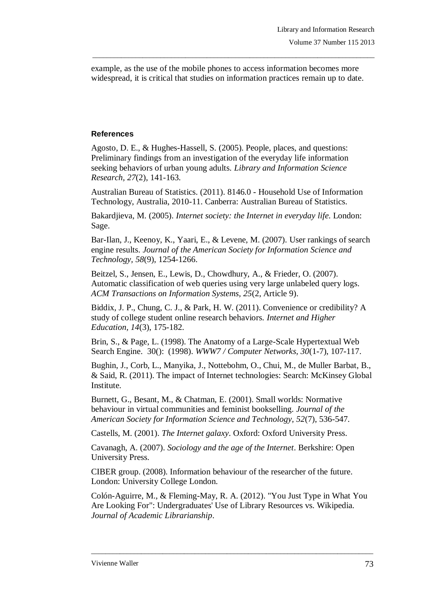example, as the use of the mobile phones to access information becomes more widespread, it is critical that studies on information practices remain up to date.

\_\_\_\_\_\_\_\_\_\_\_\_\_\_\_\_\_\_\_\_\_\_\_\_\_\_\_\_\_\_\_\_\_\_\_\_\_\_\_\_\_\_\_\_\_\_\_\_\_\_\_\_\_\_\_\_\_\_\_\_\_\_\_\_\_\_\_\_\_\_\_\_\_\_\_\_\_\_\_

#### **References**

Agosto, D. E., & Hughes-Hassell, S. (2005). People, places, and questions: Preliminary findings from an investigation of the everyday life information seeking behaviors of urban young adults. *Library and Information Science Research, 27*(2), 141-163.

Australian Bureau of Statistics. (2011). 8146.0 - Household Use of Information Technology, Australia, 2010-11. Canberra: Australian Bureau of Statistics.

Bakardjieva, M. (2005). *Internet society: the Internet in everyday life*. London: Sage.

Bar-Ilan, J., Keenoy, K., Yaari, E., & Levene, M. (2007). User rankings of search engine results. *Journal of the American Society for Information Science and Technology, 58*(9), 1254-1266.

Beitzel, S., Jensen, E., Lewis, D., Chowdhury, A., & Frieder, O. (2007). Automatic classification of web queries using very large unlabeled query logs. *ACM Transactions on Information Systems, 25*(2, Article 9).

Biddix, J. P., Chung, C. J., & Park, H. W. (2011). Convenience or credibility? A study of college student online research behaviors. *Internet and Higher Education, 14*(3), 175-182.

Brin, S., & Page, L. (1998). The Anatomy of a Large-Scale Hypertextual Web Search Engine. 30(): (1998). *WWW7 / Computer Networks, 30*(1-7), 107-117.

Bughin, J., Corb, L., Manyika, J., Nottebohm, O., Chui, M., de Muller Barbat, B., & Said, R. (2011). The impact of Internet technologies: Search: McKinsey Global Institute.

Burnett, G., Besant, M., & Chatman, E. (2001). Small worlds: Normative behaviour in virtual communities and feminist bookselling. *Journal of the American Society for Information Science and Technology, 52*(7), 536-547.

Castells, M. (2001). *The Internet galaxy*. Oxford: Oxford University Press.

Cavanagh, A. (2007). *Sociology and the age of the Internet*. Berkshire: Open University Press.

CIBER group. (2008). Information behaviour of the researcher of the future. London: University College London.

Colón-Aguirre, M., & Fleming-May, R. A. (2012). "You Just Type in What You Are Looking For": Undergraduates' Use of Library Resources vs. Wikipedia. *Journal of Academic Librarianship*.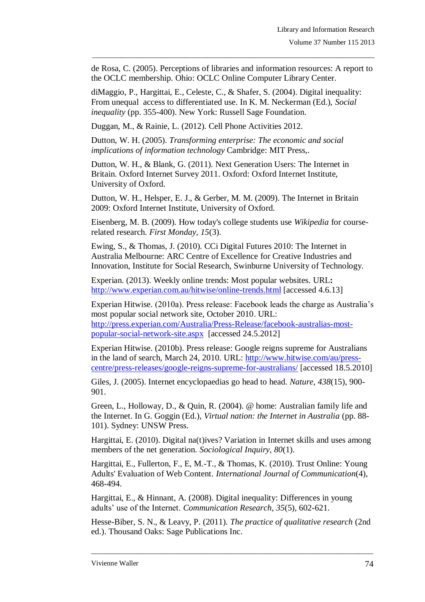de Rosa, C. (2005). Perceptions of libraries and information resources: A report to the OCLC membership. Ohio: OCLC Online Computer Library Center.

\_\_\_\_\_\_\_\_\_\_\_\_\_\_\_\_\_\_\_\_\_\_\_\_\_\_\_\_\_\_\_\_\_\_\_\_\_\_\_\_\_\_\_\_\_\_\_\_\_\_\_\_\_\_\_\_\_\_\_\_\_\_\_\_\_\_\_\_\_\_\_\_\_\_\_\_\_\_\_

diMaggio, P., Hargittai, E., Celeste, C., & Shafer, S. (2004). Digital inequality: From unequal access to differentiated use. In K. M. Neckerman (Ed.), *Social inequality* (pp. 355-400). New York: Russell Sage Foundation.

Duggan, M., & Rainie, L. (2012). Cell Phone Activities 2012.

Dutton, W. H. (2005). *Transforming enterprise: The economic and social implications of information technology* Cambridge: MIT Press,.

Dutton, W. H., & Blank, G. (2011). Next Generation Users: The Internet in Britain. Oxford Internet Survey 2011. Oxford: Oxford Internet Institute, University of Oxford.

Dutton, W. H., Helsper, E. J., & Gerber, M. M. (2009). The Internet in Britain 2009: Oxford Internet Institute, University of Oxford.

Eisenberg, M. B. (2009). How today's college students use *Wikipedia* for courserelated research. *First Monday, 15*(3).

Ewing, S., & Thomas, J. (2010). CCi Digital Futures 2010: The Internet in Australia Melbourne: ARC Centre of Excellence for Creative Industries and Innovation, Institute for Social Research, Swinburne University of Technology.

Experian. (2013). Weekly online trends: Most popular websites. URL**:**  <http://www.experian.com.au/hitwise/online-trends.html> [accessed 4.6.13]

Experian Hitwise. (2010a). Press release: Facebook leads the charge as Australia's most popular social network site, October 2010. URL: [http://press.experian.com/Australia/Press-Release/facebook-australias-most](http://press.experian.com/Australia/Press-Release/facebook-australias-most-popular-social-network-site.aspx)[popular-social-network-site.aspx](http://press.experian.com/Australia/Press-Release/facebook-australias-most-popular-social-network-site.aspx) [accessed 24.5.2012]

Experian Hitwise. (2010b). Press release: Google reigns supreme for Australians in the land of search, March 24, 2010. URL: [http://www.hitwise.com/au/press](http://www.hitwise.com/au/press-centre/press-releases/google-reigns-supreme-for-australians/)[centre/press-releases/google-reigns-supreme-for-australians/](http://www.hitwise.com/au/press-centre/press-releases/google-reigns-supreme-for-australians/) [accessed 18.5.2010]

Giles, J. (2005). Internet encyclopaedias go head to head. *Nature, 438*(15), 900- 901.

Green, L., Holloway, D., & Quin, R. (2004). @ home: Australian family life and the Internet. In G. Goggin (Ed.), *Virtual nation: the Internet in Australia* (pp. 88- 101). Sydney: UNSW Press.

Hargittai, E. (2010). Digital na(t)ives? Variation in Internet skills and uses among members of the net generation. *Sociological Inquiry, 80*(1).

Hargittai, E., Fullerton, F., E, M.-T., & Thomas, K. (2010). Trust Online: Young Adults' Evaluation of Web Content. *International Journal of Communication*(4), 468-494.

Hargittai, E., & Hinnant, A. (2008). Digital inequality: Differences in young adults' use of the Internet. *Communication Research, 35*(5), 602-621.

Hesse-Biber, S. N., & Leavy, P. (2011). *The practice of qualitative research* (2nd ed.). Thousand Oaks: Sage Publications Inc.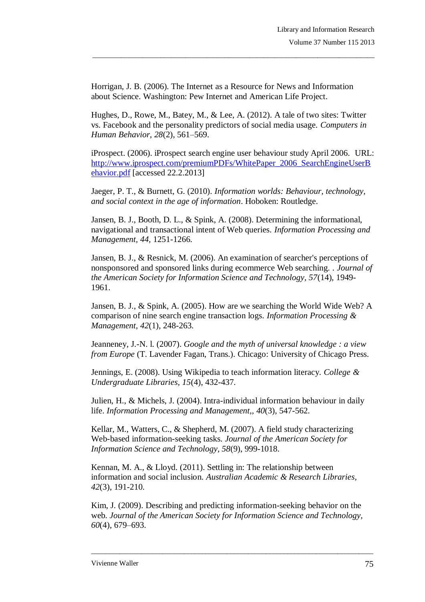Horrigan, J. B. (2006). The Internet as a Resource for News and Information about Science. Washington: Pew Internet and American Life Project.

Hughes, D., Rowe, M., Batey, M., & Lee, A. (2012). A tale of two sites: Twitter vs. Facebook and the personality predictors of social media usage. *Computers in Human Behavior, 28*(2), 561–569.

\_\_\_\_\_\_\_\_\_\_\_\_\_\_\_\_\_\_\_\_\_\_\_\_\_\_\_\_\_\_\_\_\_\_\_\_\_\_\_\_\_\_\_\_\_\_\_\_\_\_\_\_\_\_\_\_\_\_\_\_\_\_\_\_\_\_\_\_\_\_\_\_\_\_\_\_\_\_\_

iProspect. (2006). iProspect search engine user behaviour study April 2006. URL: [http://www.iprospect.com/premiumPDFs/WhitePaper\\_2006\\_SearchEngineUserB](http://www.iprospect.com/premiumPDFs/WhitePaper_2006_SearchEngineUserBehavior.pdf) [ehavior.pdf](http://www.iprospect.com/premiumPDFs/WhitePaper_2006_SearchEngineUserBehavior.pdf) [accessed 22.2.2013]

Jaeger, P. T., & Burnett, G. (2010). *Information worlds: Behaviour, technology, and social context in the age of information*. Hoboken: Routledge.

Jansen, B. J., Booth, D. L., & Spink, A. (2008). Determining the informational, navigational and transactional intent of Web queries. *Information Processing and Management, 44*, 1251-1266.

Jansen, B. J., & Resnick, M. (2006). An examination of searcher's perceptions of nonsponsored and sponsored links during ecommerce Web searching. . *Journal of the American Society for Information Science and Technology, 57*(14), 1949- 1961.

Jansen, B. J., & Spink, A. (2005). How are we searching the World Wide Web? A comparison of nine search engine transaction logs. *Information Processing & Management, 42*(1), 248-263.

Jeanneney, J.-N. l. (2007). *Google and the myth of universal knowledge : a view from Europe* (T. Lavender Fagan, Trans.). Chicago: University of Chicago Press.

Jennings, E. (2008). Using Wikipedia to teach information literacy. *College & Undergraduate Libraries, 15*(4), 432-437.

Julien, H., & Michels, J. (2004). Intra-individual information behaviour in daily life. *Information Processing and Management,, 40*(3), 547-562.

Kellar, M., Watters, C., & Shepherd, M. (2007). A field study characterizing Web-based information-seeking tasks. *Journal of the American Society for Information Science and Technology, 58*(9), 999-1018.

Kennan, M. A., & Lloyd. (2011). Settling in: The relationship between information and social inclusion. *Australian Academic & Research Libraries, 42*(3), 191-210.

Kim, J. (2009). Describing and predicting information-seeking behavior on the web. *Journal of the American Society for Information Science and Technology, 60*(4), 679–693.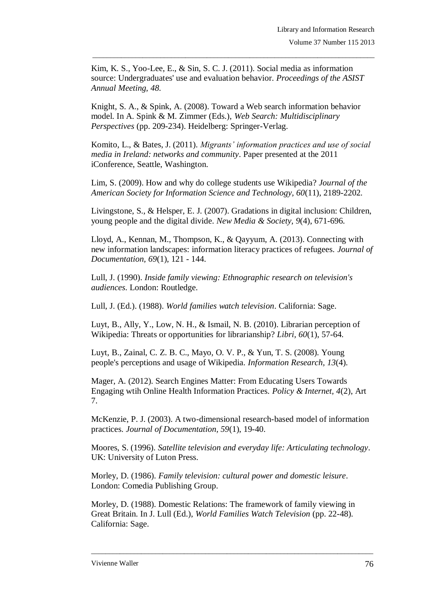Kim, K. S., Yoo-Lee, E., & Sin, S. C. J. (2011). Social media as information source: Undergraduates' use and evaluation behavior. *Proceedings of the ASIST Annual Meeting, 48*.

\_\_\_\_\_\_\_\_\_\_\_\_\_\_\_\_\_\_\_\_\_\_\_\_\_\_\_\_\_\_\_\_\_\_\_\_\_\_\_\_\_\_\_\_\_\_\_\_\_\_\_\_\_\_\_\_\_\_\_\_\_\_\_\_\_\_\_\_\_\_\_\_\_\_\_\_\_\_\_

<span id="page-18-0"></span>Knight, S. A., & Spink, A. (2008). Toward a Web search information behavior model. In A. Spink & M. Zimmer (Eds.), *Web Search: Multidisciplinary Perspectives* (pp. 209-234). Heidelberg: Springer-Verlag.

Komito, L., & Bates, J. (2011). *Migrants' information practices and use of social media in Ireland: networks and community*. Paper presented at the 2011 iConference, Seattle, Washington.

Lim, S. (2009). How and why do college students use Wikipedia? *Journal of the American Society for Information Science and Technology, 60*(11), 2189-2202.

Livingstone, S., & Helsper, E. J. (2007). Gradations in digital inclusion: Children, young people and the digital divide. *New Media & Society, 9*(4), 671-696.

Lloyd, A., Kennan, M., Thompson, K., & Qayyum, A. (2013). Connecting with new information landscapes: information literacy practices of refugees. *Journal of Documentation, 69*(1), 121 - 144.

Lull, J. (1990). *Inside family viewing: Ethnographic research on television's audiences*. London: Routledge.

Lull, J. (Ed.). (1988). *World families watch television*. California: Sage.

Luyt, B., Ally, Y., Low, N. H., & Ismail, N. B. (2010). Librarian perception of Wikipedia: Threats or opportunities for librarianship? *Libri, 60*(1), 57-64.

Luyt, B., Zainal, C. Z. B. C., Mayo, O. V. P., & Yun, T. S. (2008). Young people's perceptions and usage of Wikipedia. *Information Research, 13*(4).

Mager, A. (2012). Search Engines Matter: From Educating Users Towards Engaging wtih Online Health Information Practices. *Policy & Internet, 4*(2), Art 7.

McKenzie, P. J. (2003). A two-dimensional research-based model of information practices. *Journal of Documentation, 59*(1), 19-40.

Moores, S. (1996). *Satellite television and everyday life: Articulating technology*. UK: University of Luton Press.

Morley, D. (1986). *Family television: cultural power and domestic leisure*. London: Comedia Publishing Group.

Morley, D. (1988). Domestic Relations: The framework of family viewing in Great Britain. In J. Lull (Ed.), *World Families Watch Television* (pp. 22-48). California: Sage.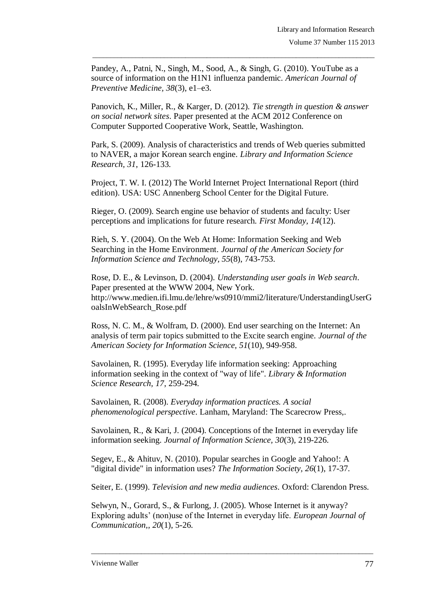Pandey, A., Patni, N., Singh, M., Sood, A., & Singh, G. (2010). YouTube as a source of information on the H1N1 influenza pandemic. *American Journal of Preventive Medicine, 38*(3), e1–e3.

\_\_\_\_\_\_\_\_\_\_\_\_\_\_\_\_\_\_\_\_\_\_\_\_\_\_\_\_\_\_\_\_\_\_\_\_\_\_\_\_\_\_\_\_\_\_\_\_\_\_\_\_\_\_\_\_\_\_\_\_\_\_\_\_\_\_\_\_\_\_\_\_\_\_\_\_\_\_\_

Panovich, K., Miller, R., & Karger, D. (2012). *Tie strength in question & answer on social network sites*. Paper presented at the ACM 2012 Conference on Computer Supported Cooperative Work, Seattle, Washington.

Park, S. (2009). Analysis of characteristics and trends of Web queries submitted to NAVER, a major Korean search engine. *Library and Information Science Research, 31*, 126-133.

Project, T. W. I. (2012) The World Internet Project International Report (third edition). USA: USC Annenberg School Center for the Digital Future.

Rieger, O. (2009). Search engine use behavior of students and faculty: User perceptions and implications for future research. *First Monday, 14*(12).

Rieh, S. Y. (2004). On the Web At Home: Information Seeking and Web Searching in the Home Environment. *Journal of the American Society for Information Science and Technology, 55*(8), 743-753.

Rose, D. E., & Levinson, D. (2004). *Understanding user goals in Web search*. Paper presented at the WWW 2004, New York. http://www.medien.ifi.lmu.de/lehre/ws0910/mmi2/literature/UnderstandingUserG oalsInWebSearch\_Rose.pdf

Ross, N. C. M., & Wolfram, D. (2000). End user searching on the Internet: An analysis of term pair topics submitted to the Excite search engine. *Journal of the American Society for Information Science, 51*(10), 949-958.

Savolainen, R. (1995). Everyday life information seeking: Approaching information seeking in the context of "way of life". *Library & Information Science Research, 17*, 259-294.

Savolainen, R. (2008). *Everyday information practices. A social phenomenological perspective*. Lanham, Maryland: The Scarecrow Press,.

Savolainen, R., & Kari, J. (2004). Conceptions of the Internet in everyday life information seeking. *Journal of Information Science, 30*(3), 219-226.

Segev, E., & Ahituv, N. (2010). Popular searches in Google and Yahoo!: A "digital divide" in information uses? *The Information Society, 26*(1), 17-37.

Seiter, E. (1999). *Television and new media audiences*. Oxford: Clarendon Press.

Selwyn, N., Gorard, S., & Furlong, J. (2005). Whose Internet is it anyway? Exploring adults' (non)use of the Internet in everyday life. *European Journal of Communication,, 20*(1), 5-26.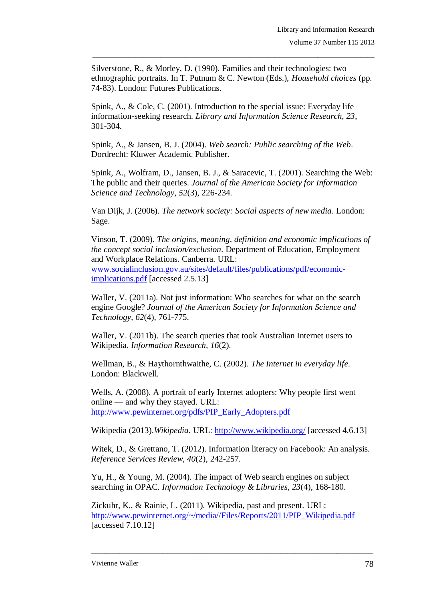Silverstone, R., & Morley, D. (1990). Families and their technologies: two ethnographic portraits. In T. Putnum & C. Newton (Eds.), *Household choices* (pp. 74-83). London: Futures Publications.

\_\_\_\_\_\_\_\_\_\_\_\_\_\_\_\_\_\_\_\_\_\_\_\_\_\_\_\_\_\_\_\_\_\_\_\_\_\_\_\_\_\_\_\_\_\_\_\_\_\_\_\_\_\_\_\_\_\_\_\_\_\_\_\_\_\_\_\_\_\_\_\_\_\_\_\_\_\_\_

Spink, A., & Cole, C. (2001). Introduction to the special issue: Everyday life information-seeking research. *Library and Information Science Research, 23*, 301-304.

Spink, A., & Jansen, B. J. (2004). *Web search: Public searching of the Web*. Dordrecht: Kluwer Academic Publisher.

Spink, A., Wolfram, D., Jansen, B. J., & Saracevic, T. (2001). Searching the Web: The public and their queries. *Journal of the American Society for Information Science and Technology, 52*(3), 226-234.

Van Dijk, J. (2006). *The network society: Social aspects of new media*. London: Sage.

Vinson, T. (2009). *The origins, meaning, definition and economic implications of the concept social inclusion/exclusion*. Department of Education, Employment and Workplace Relations. Canberra. URL: [www.socialinclusion.gov.au/sites/default/files/publications/pdf/economic](http://www.socialinclusion.gov.au/sites/default/files/publications/pdf/economic-implications.pdf)[implications.pdf](http://www.socialinclusion.gov.au/sites/default/files/publications/pdf/economic-implications.pdf) [accessed 2.5.13]

Waller, V. (2011a). Not just information: Who searches for what on the search engine Google? *Journal of the American Society for Information Science and Technology, 62*(4), 761-775.

Waller, V. (2011b). The search queries that took Australian Internet users to Wikipedia. *Information Research, 16*(2).

Wellman, B., & Haythornthwaithe, C. (2002). *The Internet in everyday life*. London: Blackwell.

Wells, A. (2008). A portrait of early Internet adopters: Why people first went online — and why they stayed. URL: [http://www.pewinternet.org/pdfs/PIP\\_Early\\_Adopters.pdf](http://www.pewinternet.org/pdfs/PIP_Early_Adopters.pdf)

Wikipedia (2013).*Wikipedia*. URL:<http://www.wikipedia.org/> [accessed 4.6.13]

Witek, D., & Grettano, T. (2012). Information literacy on Facebook: An analysis. *Reference Services Review, 40*(2), 242-257.

Yu, H., & Young, M. (2004). The impact of Web search engines on subject searching in OPAC. *Information Technology & Libraries, 23*(4), 168-180.

Zickuhr, K., & Rainie, L. (2011). Wikipedia, past and present. URL: [http://www.pewinternet.org/~/media//Files/Reports/2011/PIP\\_Wikipedia.pdf](http://www.pewinternet.org/~/media/Files/Reports/2011/PIP_Wikipedia.pdf) [accessed 7.10.12]